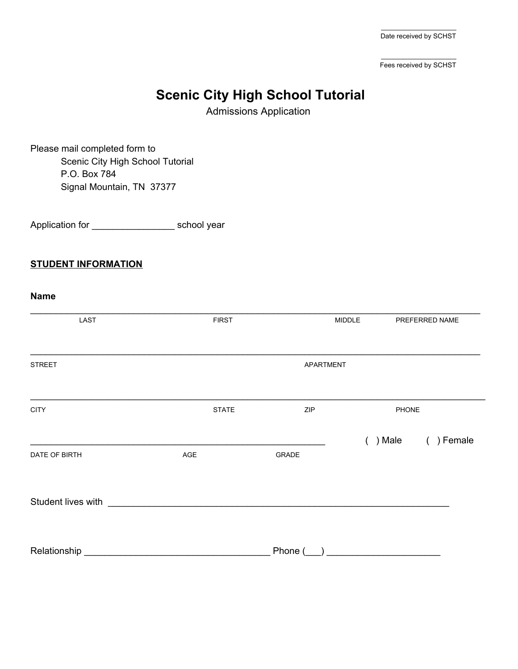$\overline{\phantom{a}}$  , and the set of the set of the set of the set of the set of the set of the set of the set of the set of the set of the set of the set of the set of the set of the set of the set of the set of the set of the s Date received by SCHST

 $\overline{\phantom{a}}$  , and the set of the set of the set of the set of the set of the set of the set of the set of the set of the set of the set of the set of the set of the set of the set of the set of the set of the set of the s Fees received by SCHST

# **Scenic City High School Tutorial**

Admissions Application

Please mail completed form to Scenic City High School Tutorial P.O. Box 784 Signal Mountain, TN 37377

Application for \_\_\_\_\_\_\_\_\_\_\_\_\_\_\_\_\_\_\_\_\_\_\_ school year

#### **STUDENT INFORMATION**

| <b>Name</b>        |                                                           |           |            |                |
|--------------------|-----------------------------------------------------------|-----------|------------|----------------|
| LAST               | <b>FIRST</b>                                              |           | MIDDLE     | PREFERRED NAME |
| <b>STREET</b>      |                                                           | APARTMENT |            |                |
| <b>CITY</b>        | <b>STATE</b>                                              | ZIP       | PHONE      |                |
|                    |                                                           |           | $( )$ Male | ( ) Female     |
| DATE OF BIRTH      | $\mathsf{AGE}$                                            | GRADE     |            |                |
| Student lives with | <u> 1980 - Jan Barbara, manazarta bashkar a shekara t</u> |           |            |                |
| Relationship       |                                                           | Phone (   |            |                |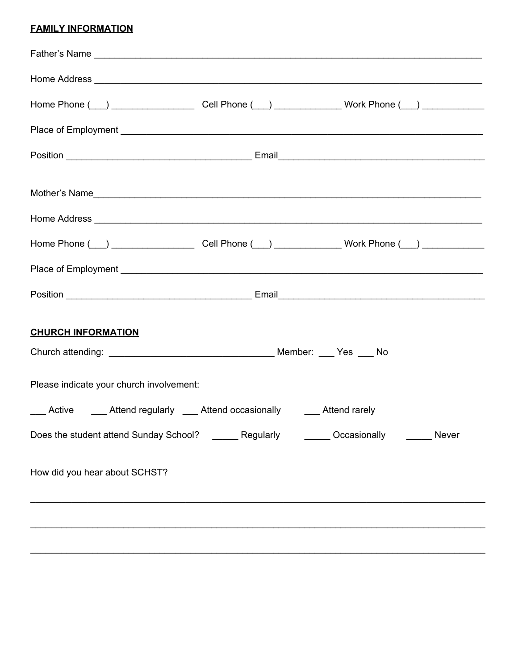# **FAMILY INFORMATION**

| <b>CHURCH INFORMATION</b>                                                                   |  |  |  |  |  |
|---------------------------------------------------------------------------------------------|--|--|--|--|--|
| Please indicate your church involvement:                                                    |  |  |  |  |  |
| Active Attend regularly Attend occasionally Attend rarely                                   |  |  |  |  |  |
| Does the student attend Sunday School? _______ Regularly _______ Occasionally _______ Never |  |  |  |  |  |
| How did you hear about SCHST?                                                               |  |  |  |  |  |
|                                                                                             |  |  |  |  |  |
|                                                                                             |  |  |  |  |  |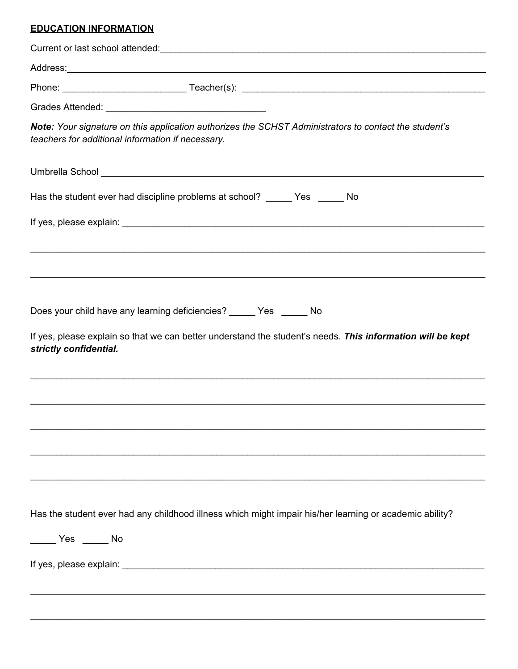# **EDUCATION INFORMATION**

| teachers for additional information if necessary. | Note: Your signature on this application authorizes the SCHST Administrators to contact the student's      |
|---------------------------------------------------|------------------------------------------------------------------------------------------------------------|
|                                                   |                                                                                                            |
|                                                   | Has the student ever had discipline problems at school? ______ Yes ______ No                               |
|                                                   |                                                                                                            |
|                                                   |                                                                                                            |
|                                                   |                                                                                                            |
|                                                   |                                                                                                            |
|                                                   | Does your child have any learning deficiencies? ______ Yes ______ No                                       |
| strictly confidential.                            | If yes, please explain so that we can better understand the student's needs. This information will be kept |
|                                                   |                                                                                                            |
|                                                   |                                                                                                            |
|                                                   |                                                                                                            |
|                                                   |                                                                                                            |
|                                                   |                                                                                                            |
|                                                   |                                                                                                            |
|                                                   | Has the student ever had any childhood illness which might impair his/her learning or academic ability?    |
| ______ Yes ______ No                              |                                                                                                            |
|                                                   |                                                                                                            |
|                                                   |                                                                                                            |
|                                                   |                                                                                                            |
|                                                   |                                                                                                            |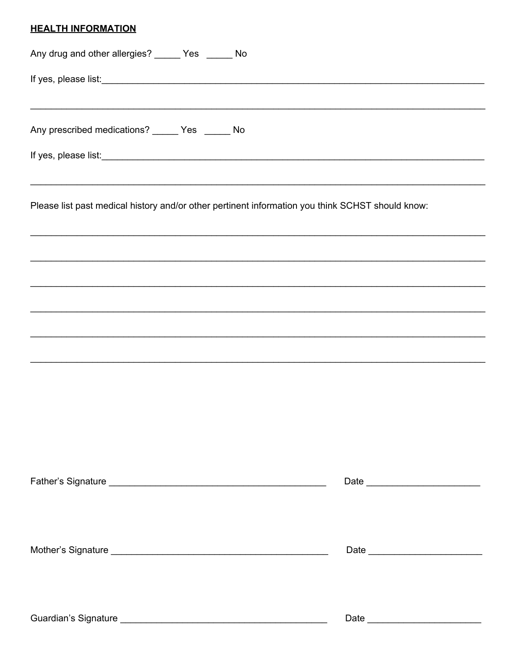# **HEALTH INFORMATION**

| Any drug and other allergies? _____ Yes _____ No                                                 |  |  |  |  |  |
|--------------------------------------------------------------------------------------------------|--|--|--|--|--|
|                                                                                                  |  |  |  |  |  |
|                                                                                                  |  |  |  |  |  |
| Any prescribed medications? _____ Yes _____ No                                                   |  |  |  |  |  |
|                                                                                                  |  |  |  |  |  |
| Please list past medical history and/or other pertinent information you think SCHST should know: |  |  |  |  |  |
|                                                                                                  |  |  |  |  |  |
|                                                                                                  |  |  |  |  |  |
|                                                                                                  |  |  |  |  |  |
|                                                                                                  |  |  |  |  |  |
|                                                                                                  |  |  |  |  |  |
|                                                                                                  |  |  |  |  |  |
|                                                                                                  |  |  |  |  |  |
|                                                                                                  |  |  |  |  |  |
|                                                                                                  |  |  |  |  |  |
|                                                                                                  |  |  |  |  |  |